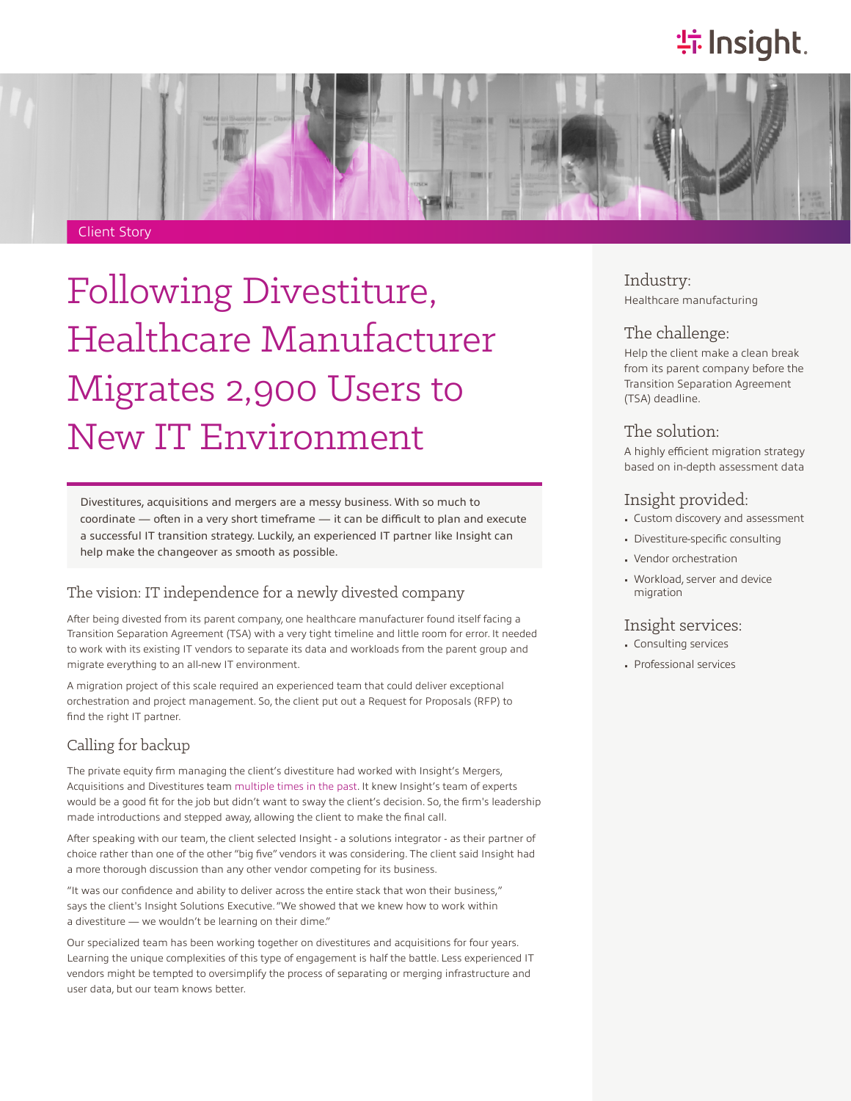# **特Insight**.



# Following Divestiture, Healthcare Manufacturer Migrates 2,900 Users to New IT Environment

Divestitures, acquisitions and mergers are a messy business. With so much to coordinate — often in a very short timeframe — it can be difficult to plan and execute a successful IT transition strategy. Luckily, an experienced IT partner like Insight can help make the changeover as smooth as possible.

#### The vision: IT independence for a newly divested company

After being divested from its parent company, one healthcare manufacturer found itself facing a Transition Separation Agreement (TSA) with a very tight timeline and little room for error. It needed to work with its existing IT vendors to separate its data and workloads from the parent group and migrate everything to an all-new IT environment.

A migration project of this scale required an experienced team that could deliver exceptional orchestration and project management. So, the client put out a Request for Proposals (RFP) to find the right IT partner.

#### Calling for backup

The private equity firm managing the client's divestiture had worked with Insight's Mergers, Acquisitions and Divestitures team [multiple times in the past](https://solutions.insight.com/getattachment/d8bec095-cbfa-4cea-8c3d-13300a77bbc8/Company-establishes-own-IT-on-tight-deadline-after-divestiture.aspx). It knew Insight's team of experts would be a good fit for the job but didn't want to sway the client's decision. So, the firm's leadership made introductions and stepped away, allowing the client to make the final call.

After speaking with our team, the client selected Insight - a solutions integrator - as their partner of choice rather than one of the other "big five" vendors it was considering. The client said Insight had a more thorough discussion than any other vendor competing for its business.

"It was our confidence and ability to deliver across the entire stack that won their business," says the client's Insight Solutions Executive. "We showed that we knew how to work within a divestiture — we wouldn't be learning on their dime."

Our specialized team has been working together on divestitures and acquisitions for four years. Learning the unique complexities of this type of engagement is half the battle. Less experienced IT vendors might be tempted to oversimplify the process of separating or merging infrastructure and user data, but our team knows better.

### Industry:

Healthcare manufacturing

#### The challenge:

Help the client make a clean break from its parent company before the Transition Separation Agreement (TSA) deadline.

#### The solution:

A highly efficient migration strategy based on in-depth assessment data

#### Insight provided:

- Custom discovery and assessment
- Divestiture-specific consulting
- Vendor orchestration
- Workload, server and device migration

#### Insight services:

- Consulting services
- Professional services